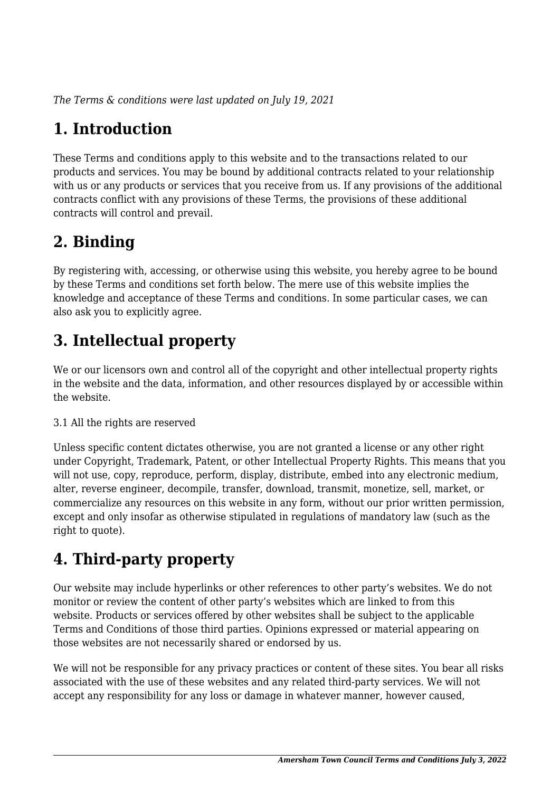*The Terms & conditions were last updated on July 19, 2021*

# **1. Introduction**

These Terms and conditions apply to this website and to the transactions related to our products and services. You may be bound by additional contracts related to your relationship with us or any products or services that you receive from us. If any provisions of the additional contracts conflict with any provisions of these Terms, the provisions of these additional contracts will control and prevail.

# **2. Binding**

By registering with, accessing, or otherwise using this website, you hereby agree to be bound by these Terms and conditions set forth below. The mere use of this website implies the knowledge and acceptance of these Terms and conditions. In some particular cases, we can also ask you to explicitly agree.

# **3. Intellectual property**

We or our licensors own and control all of the copyright and other intellectual property rights in the website and the data, information, and other resources displayed by or accessible within the website.

#### 3.1 All the rights are reserved

Unless specific content dictates otherwise, you are not granted a license or any other right under Copyright, Trademark, Patent, or other Intellectual Property Rights. This means that you will not use, copy, reproduce, perform, display, distribute, embed into any electronic medium, alter, reverse engineer, decompile, transfer, download, transmit, monetize, sell, market, or commercialize any resources on this website in any form, without our prior written permission, except and only insofar as otherwise stipulated in regulations of mandatory law (such as the right to quote).

# **4. Third-party property**

Our website may include hyperlinks or other references to other party's websites. We do not monitor or review the content of other party's websites which are linked to from this website. Products or services offered by other websites shall be subject to the applicable Terms and Conditions of those third parties. Opinions expressed or material appearing on those websites are not necessarily shared or endorsed by us.

We will not be responsible for any privacy practices or content of these sites. You bear all risks associated with the use of these websites and any related third-party services. We will not accept any responsibility for any loss or damage in whatever manner, however caused,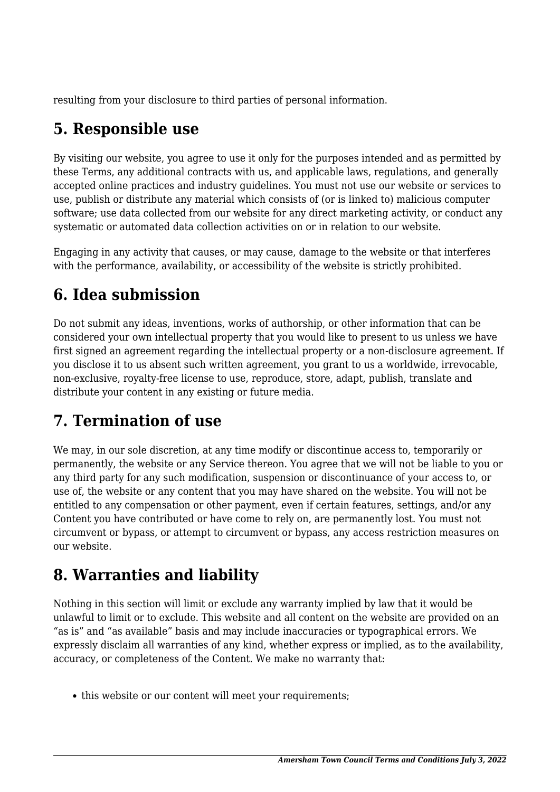resulting from your disclosure to third parties of personal information.

# **5. Responsible use**

By visiting our website, you agree to use it only for the purposes intended and as permitted by these Terms, any additional contracts with us, and applicable laws, regulations, and generally accepted online practices and industry guidelines. You must not use our website or services to use, publish or distribute any material which consists of (or is linked to) malicious computer software; use data collected from our website for any direct marketing activity, or conduct any systematic or automated data collection activities on or in relation to our website.

Engaging in any activity that causes, or may cause, damage to the website or that interferes with the performance, availability, or accessibility of the website is strictly prohibited.

# **6. Idea submission**

Do not submit any ideas, inventions, works of authorship, or other information that can be considered your own intellectual property that you would like to present to us unless we have first signed an agreement regarding the intellectual property or a non-disclosure agreement. If you disclose it to us absent such written agreement, you grant to us a worldwide, irrevocable, non-exclusive, royalty-free license to use, reproduce, store, adapt, publish, translate and distribute your content in any existing or future media.

# **7. Termination of use**

We may, in our sole discretion, at any time modify or discontinue access to, temporarily or permanently, the website or any Service thereon. You agree that we will not be liable to you or any third party for any such modification, suspension or discontinuance of your access to, or use of, the website or any content that you may have shared on the website. You will not be entitled to any compensation or other payment, even if certain features, settings, and/or any Content you have contributed or have come to rely on, are permanently lost. You must not circumvent or bypass, or attempt to circumvent or bypass, any access restriction measures on our website.

# **8. Warranties and liability**

Nothing in this section will limit or exclude any warranty implied by law that it would be unlawful to limit or to exclude. This website and all content on the website are provided on an "as is" and "as available" basis and may include inaccuracies or typographical errors. We expressly disclaim all warranties of any kind, whether express or implied, as to the availability, accuracy, or completeness of the Content. We make no warranty that:

• this website or our content will meet your requirements;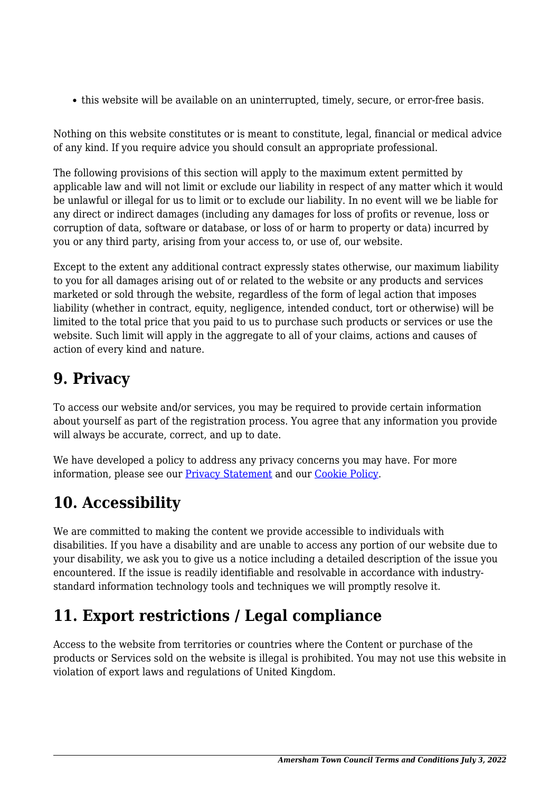this website will be available on an uninterrupted, timely, secure, or error-free basis.

Nothing on this website constitutes or is meant to constitute, legal, financial or medical advice of any kind. If you require advice you should consult an appropriate professional.

The following provisions of this section will apply to the maximum extent permitted by applicable law and will not limit or exclude our liability in respect of any matter which it would be unlawful or illegal for us to limit or to exclude our liability. In no event will we be liable for any direct or indirect damages (including any damages for loss of profits or revenue, loss or corruption of data, software or database, or loss of or harm to property or data) incurred by you or any third party, arising from your access to, or use of, our website.

Except to the extent any additional contract expressly states otherwise, our maximum liability to you for all damages arising out of or related to the website or any products and services marketed or sold through the website, regardless of the form of legal action that imposes liability (whether in contract, equity, negligence, intended conduct, tort or otherwise) will be limited to the total price that you paid to us to purchase such products or services or use the website. Such limit will apply in the aggregate to all of your claims, actions and causes of action of every kind and nature.

## **9. Privacy**

To access our website and/or services, you may be required to provide certain information about yourself as part of the registration process. You agree that any information you provide will always be accurate, correct, and up to date.

We have developed a policy to address any privacy concerns you may have. For more information, please see our [Privacy Statement](https://atc.raba.co.uk/privacy-policy) and our [Cookie Policy](https://atc.raba.co.uk/cookie-policy).

# **10. Accessibility**

We are committed to making the content we provide accessible to individuals with disabilities. If you have a disability and are unable to access any portion of our website due to your disability, we ask you to give us a notice including a detailed description of the issue you encountered. If the issue is readily identifiable and resolvable in accordance with industrystandard information technology tools and techniques we will promptly resolve it.

# **11. Export restrictions / Legal compliance**

Access to the website from territories or countries where the Content or purchase of the products or Services sold on the website is illegal is prohibited. You may not use this website in violation of export laws and regulations of United Kingdom.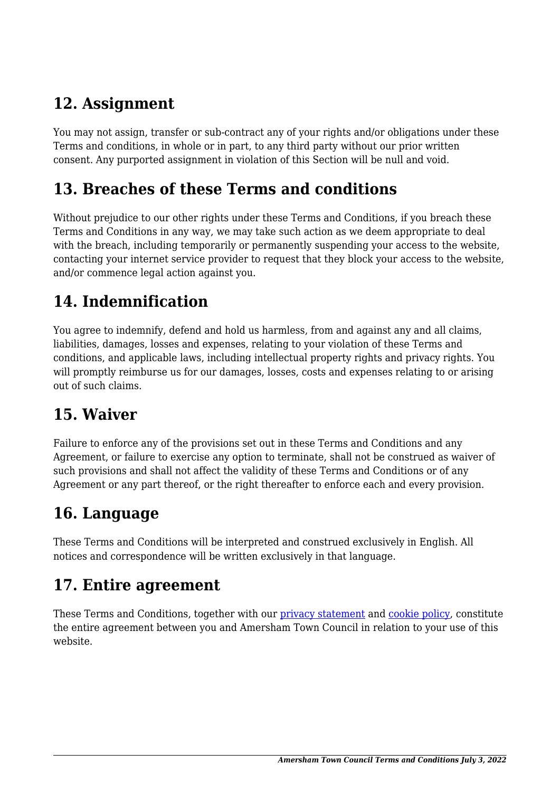## **12. Assignment**

You may not assign, transfer or sub-contract any of your rights and/or obligations under these Terms and conditions, in whole or in part, to any third party without our prior written consent. Any purported assignment in violation of this Section will be null and void.

#### **13. Breaches of these Terms and conditions**

Without prejudice to our other rights under these Terms and Conditions, if you breach these Terms and Conditions in any way, we may take such action as we deem appropriate to deal with the breach, including temporarily or permanently suspending your access to the website, contacting your internet service provider to request that they block your access to the website, and/or commence legal action against you.

# **14. Indemnification**

You agree to indemnify, defend and hold us harmless, from and against any and all claims, liabilities, damages, losses and expenses, relating to your violation of these Terms and conditions, and applicable laws, including intellectual property rights and privacy rights. You will promptly reimburse us for our damages, losses, costs and expenses relating to or arising out of such claims.

### **15. Waiver**

Failure to enforce any of the provisions set out in these Terms and Conditions and any Agreement, or failure to exercise any option to terminate, shall not be construed as waiver of such provisions and shall not affect the validity of these Terms and Conditions or of any Agreement or any part thereof, or the right thereafter to enforce each and every provision.

# **16. Language**

These Terms and Conditions will be interpreted and construed exclusively in English. All notices and correspondence will be written exclusively in that language.

#### **17. Entire agreement**

These Terms and Conditions, together with our [privacy statement](https://atc.raba.co.uk/privacy-policy) and [cookie policy,](https://atc.raba.co.uk/cookie-policy) constitute the entire agreement between you and Amersham Town Council in relation to your use of this website.